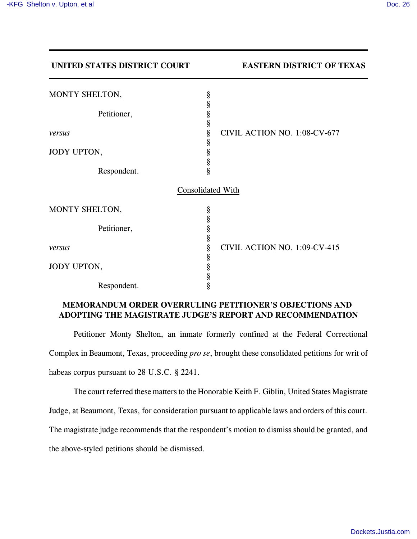| UNITED STATES DISTRICT COURT |                   | <b>EASTERN DISTRICT OF TEXAS</b> |
|------------------------------|-------------------|----------------------------------|
| MONTY SHELTON,               | §                 |                                  |
| Petitioner,                  | §<br>§<br>§       |                                  |
| versus                       | §                 | CIVIL ACTION NO. 1:08-CV-677     |
| JODY UPTON,                  | §<br>§            |                                  |
| Respondent.                  | §<br>ş            |                                  |
|                              | Consolidated With |                                  |
| MONTY SHELTON,               | §                 |                                  |
| Petitioner,                  | §<br>§            |                                  |
| versus                       | §<br>§            | CIVIL ACTION NO. 1:09-CV-415     |
| JODY UPTON,                  | §                 |                                  |
| Respondent.                  | §<br>§<br>§       |                                  |

## **MEMORANDUM ORDER OVERRULING PETITIONER'S OBJECTIONS AND ADOPTING THE MAGISTRATE JUDGE'S REPORT AND RECOMMENDATION**

Petitioner Monty Shelton, an inmate formerly confined at the Federal Correctional Complex in Beaumont, Texas, proceeding *pro se*, brought these consolidated petitions for writ of habeas corpus pursuant to 28 U.S.C. § 2241.

The court referred these matters to the Honorable Keith F. Giblin, United States Magistrate

Judge, at Beaumont, Texas, for consideration pursuant to applicable laws and orders of this court.

The magistrate judge recommends that the respondent's motion to dismiss should be granted, and

the above-styled petitions should be dismissed.